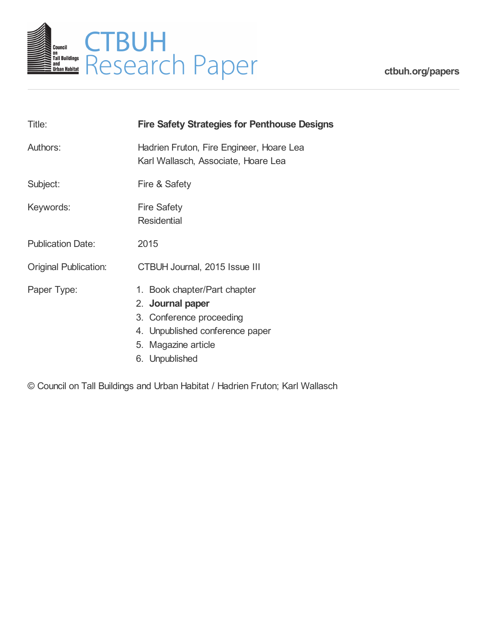

**[ctbuh.org/papers](http://ctbuh.org/papers)**

| Title:                       | <b>Fire Safety Strategies for Penthouse Designs</b>                                                                                                      |
|------------------------------|----------------------------------------------------------------------------------------------------------------------------------------------------------|
| Authors:                     | Hadrien Fruton, Fire Engineer, Hoare Lea<br>Karl Wallasch, Associate, Hoare Lea                                                                          |
| Subject:                     | Fire & Safety                                                                                                                                            |
| Keywords:                    | <b>Fire Safety</b><br><b>Residential</b>                                                                                                                 |
| <b>Publication Date:</b>     | 2015                                                                                                                                                     |
| <b>Original Publication:</b> | CTBUH Journal, 2015 Issue III                                                                                                                            |
| Paper Type:                  | 1. Book chapter/Part chapter<br>2. Journal paper<br>3. Conference proceeding<br>4. Unpublished conference paper<br>5. Magazine article<br>6. Unpublished |

© Council on Tall Buildings and Urban Habitat / Hadrien Fruton; Karl Wallasch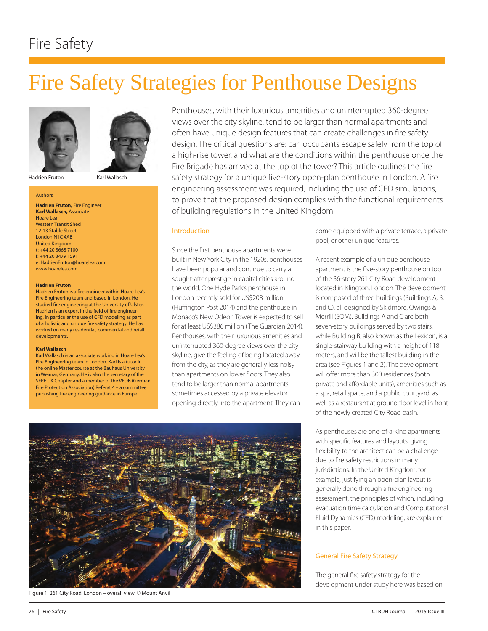# Fire Safety

# Fire Safety Strategies for Penthouse Designs





Hadrien Fruton Karl Wallasch

#### Authors

**Hadrien Fruton,** Fire Engineer **Karl Wallasch,** Associate Hoare Lea Western Transit Shed 12-13 Stable Street London N1C 4AB United Kingdom t: +44 20 3668 7100 f: +44 20 3479 1591 e: HadrienFruton@hoarelea.com www.hoarelea.com

#### **Hadrien Fruton**

Hadrien Fruton is a fire engineer within Hoare Lea's Fire Engineering team and based in London. He studied fire engineering at the University of Ulster. Hadrien is an expert in the field of fire engineering, in particular the use of CFD modeling as part of a holistic and unique fire safety strategy. He has worked on many residential, commercial and retail developments.

#### **Karl Wallasch**

Karl Wallasch is an associate working in Hoare Lea's Fire Engineering team in London. Karl is a tutor in the online Master course at the Bauhaus University in Weimar, Germany. He is also the secretary of the SFPE UK Chapter and a member of the VFDB (German Fire Protection Association) Referat 4 – a committee publishing fire engineering guidance in Europe.

Penthouses, with their luxurious amenities and uninterrupted 360-degree views over the city skyline, tend to be larger than normal apartments and often have unique design features that can create challenges in fire safety design. The critical questions are: can occupants escape safely from the top of a high-rise tower, and what are the conditions within the penthouse once the Fire Brigade has arrived at the top of the tower? This article outlines the fire safety strategy for a unique five-story open-plan penthouse in London. A fire engineering assessment was required, including the use of CFD simulations, to prove that the proposed design complies with the functional requirements of building regulations in the United Kingdom.

#### Introduction

Since the first penthouse apartments were built in New York City in the 1920s, penthouses have been popular and continue to carry a sought-after prestige in capital cities around the world. One Hyde Park's penthouse in London recently sold for US\$208 million (Huffington Post 2014) and the penthouse in Monaco's New Odeon Tower is expected to sell for at least US\$386 million (The Guardian 2014). Penthouses, with their luxurious amenities and uninterrupted 360-degree views over the city skyline, give the feeling of being located away from the city, as they are generally less noisy than apartments on lower floors. They also tend to be larger than normal apartments, sometimes accessed by a private elevator opening directly into the apartment. They can

come equipped with a private terrace, a private pool, or other unique features.

A recent example of a unique penthouse apartment is the five-story penthouse on top of the 36-story 261 City Road development located in Islington, London. The development is composed of three buildings (Buildings A, B, and C), all designed by Skidmore, Owings & Merrill (SOM). Buildings A and C are both seven-story buildings served by two stairs, while Building B, also known as the Lexicon, is a single-stairway building with a height of 118 meters, and will be the tallest building in the area (see Figures 1 and 2). The development will offer more than 300 residences (both private and affordable units), amenities such as a spa, retail space, and a public courtyard, as well as a restaurant at ground floor level in front of the newly created City Road basin.

As penthouses are one-of-a-kind apartments with specific features and layouts, giving flexibility to the architect can be a challenge due to fire safety restrictions in many jurisdictions. In the United Kingdom, for example, justifying an open-plan layout is generally done through a fire engineering assessment, the principles of which, including evacuation time calculation and Computational Fluid Dynamics (CFD) modeling, are explained in this paper.

#### General Fire Safety Strategy

The general fire safety strategy for the development under study here was based on



Figure 1. 261 City Road, London – overall view. © Mount Anvil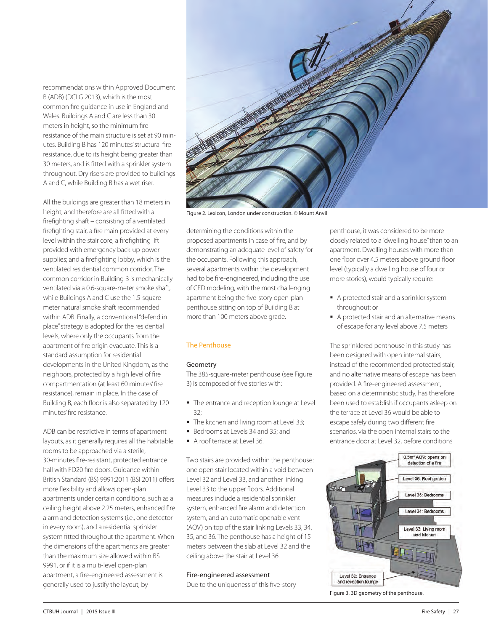recommendations within Approved Document B (ADB) (DCLG 2013), which is the most common fire guidance in use in England and Wales. Buildings A and C are less than 30 meters in height, so the minimum fire resistance of the main structure is set at 90 minutes. Building B has 120 minutes' structural fire resistance, due to its height being greater than 30 meters, and is fitted with a sprinkler system throughout. Dry risers are provided to buildings A and C, while Building B has a wet riser.

All the buildings are greater than 18 meters in height, and therefore are all fitted with a firefighting shaft – consisting of a ventilated firefighting stair, a fire main provided at every level within the stair core, a firefighting lift provided with emergency back-up power supplies; and a firefighting lobby, which is the ventilated residential common corridor. The common corridor in Building B is mechanically ventilated via a 0.6-square-meter smoke shaft, while Buildings A and C use the 1.5-squaremeter natural smoke shaft recommended within ADB. Finally, a conventional "defend in place" strategy is adopted for the residential levels, where only the occupants from the apartment of fire origin evacuate. This is a standard assumption for residential developments in the United Kingdom, as the neighbors, protected by a high level of fire compartmentation (at least 60 minutes' fire resistance), remain in place. In the case of Building B, each floor is also separated by 120 minutes' fire resistance.

ADB can be restrictive in terms of apartment layouts, as it generally requires all the habitable rooms to be approached via a sterile, 30-minutes fire-resistant, protected entrance hall with FD20 fire doors. Guidance within British Standard (BS) 9991:2011 (BSI 2011) offers more flexibility and allows open-plan apartments under certain conditions, such as a ceiling height above 2.25 meters, enhanced fire alarm and detection systems (i.e., one detector in every room), and a residential sprinkler system fitted throughout the apartment. When the dimensions of the apartments are greater than the maximum size allowed within BS 9991, or if it is a multi-level open-plan apartment, a fire-engineered assessment is generally used to justify the layout, by



Figure 2. Lexicon, London under construction. © Mount Anvil

determining the conditions within the proposed apartments in case of fire, and by demonstrating an adequate level of safety for the occupants. Following this approach, several apartments within the development had to be fire-engineered, including the use of CFD modeling, with the most challenging apartment being the five-story open-plan penthouse sitting on top of Building B at more than 100 meters above grade.

#### The Penthouse

#### Geometry

The 385-square-meter penthouse (see Figure 3) is composed of five stories with:

- $\blacksquare$  The entrance and reception lounge at Level  $32$
- The kitchen and living room at Level 33;
- Bedrooms at Levels 34 and 35; and
- A roof terrace at Level 36.

Two stairs are provided within the penthouse: one open stair located within a void between Level 32 and Level 33, and another linking Level 33 to the upper floors. Additional measures include a residential sprinkler system, enhanced fire alarm and detection system, and an automatic openable vent (AOV) on top of the stair linking Levels 33, 34, 35, and 36. The penthouse has a height of 15 meters between the slab at Level 32 and the ceiling above the stair at Level 36.

### Fire-engineered assessment

Due to the uniqueness of this five-story

penthouse, it was considered to be more closely related to a "dwelling house" than to an apartment. Dwelling houses with more than one floor over 4.5 meters above ground floor level (typically a dwelling house of four or more stories), would typically require:

- A protected stair and a sprinkler system throughout; or
- A protected stair and an alternative means of escape for any level above 7.5 meters

The sprinklered penthouse in this study has been designed with open internal stairs, instead of the recommended protected stair, and no alternative means of escape has been provided. A fire-engineered assessment, based on a deterministic study, has therefore been used to establish if occupants asleep on the terrace at Level 36 would be able to escape safely during two different fire scenarios, via the open internal stairs to the entrance door at Level 32, before conditions



Figure 3. 3D geometry of the penthouse.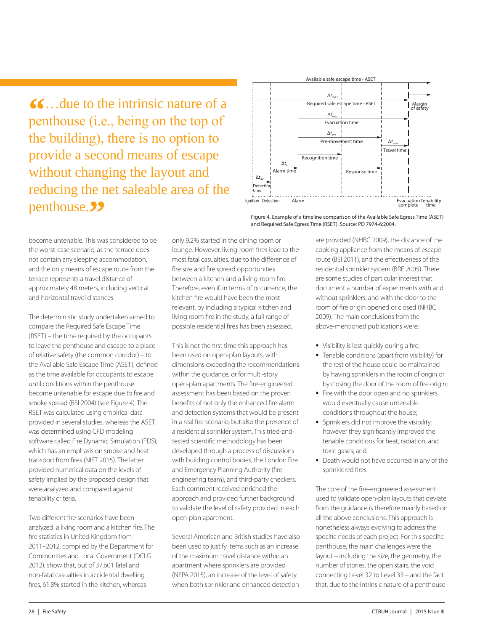**66...** due to the intrinsic nature of a<br>
penthouse (i.e., being on the top of the building), there is no option to provide a second means of escape without changing the layout and reducing the net saleable area of the penthouse. **?** 



Figure 4. Example of a timeline comparison of the Available Safe Egress Time (ASET) and Required Safe Egress Time (RSET). Source: PD 7974-6:2004.

become untenable. This was considered to be the worst-case scenario, as the terrace does not contain any sleeping accommodation, and the only means of escape route from the terrace represents a travel distance of approximately 48 meters, including vertical and horizontal travel distances.

The deterministic study undertaken aimed to compare the Required Safe Escape Time (RSET) – the time required by the occupants to leave the penthouse and escape to a place of relative safety (the common corridor) – to the Available Safe Escape Time (ASET), defined as the time available for occupants to escape until conditions within the penthouse become untenable for escape due to fire and smoke spread (BSI 2004) (see Figure 4). The RSET was calculated using empirical data provided in several studies, whereas the ASET was determined using CFD modeling software called Fire Dynamic Simulation (FDS), which has an emphasis on smoke and heat transport from fires (NIST 2015). The latter provided numerical data on the levels of safety implied by the proposed design that were analyzed and compared against tenability criteria.

Two different fire scenarios have been analyzed: a living room and a kitchen fire. The fire statistics in United Kingdom from 2011–2012, compiled by the Department for Communities and Local Government (DCLG 2012), show that, out of 37,601 fatal and non-fatal casualties in accidental dwelling fires, 61.8% started in the kitchen, whereas

only 9.2% started in the dining room or lounge. However, living-room fires lead to the most fatal casualties, due to the difference of fire size and fire spread opportunities between a kitchen and a living-room fire. Therefore, even if, in terms of occurrence, the kitchen fire would have been the most relevant, by including a typical kitchen and living room fire in the study, a full range of possible residential fires has been assessed.

This is not the first time this approach has been used on open-plan layouts, with dimensions exceeding the recommendations within the guidance, or for multi-story open-plan apartments. The fire-engineered assessment has been based on the proven benefits of not only the enhanced fire alarm and detection systems that would be present in a real fire scenario, but also the presence of a residential sprinkler system. This tried-andtested scientific methodology has been developed through a process of discussions with building control bodies, the London Fire and Emergency Planning Authority (fire engineering team), and third-party checkers. Each comment received enriched the approach and provided further background to validate the level of safety provided in each open-plan apartment.

Several American and British studies have also been used to justify items such as an increase of the maximum travel distance within an apartment where sprinklers are provided (NFPA 2015), an increase of the level of safety when both sprinkler and enhanced detection are provided (NHBC 2009), the distance of the cooking appliance from the means of escape route (BSI 2011), and the effectiveness of the residential sprinkler system (BRE 2005). There are some studies of particular interest that document a number of experiments with and without sprinklers, and with the door to the room of fire origin opened or closed (NHBC 2009). The main conclusions from the above-mentioned publications were:

- Visibility is lost quickly during a fire;
- **Tenable conditions (apart from visibility) for** the rest of the house could be maintained by having sprinklers in the room of origin or by closing the door of the room of fire origin;
- Fire with the door open and no sprinklers would eventually cause untenable conditions throughout the house;
- Sprinklers did not improve the visibility, however they significantly improved the tenable conditions for heat, radiation, and toxic gases; and
- Death would not have occurred in any of the sprinklered fires.

The core of the fire-engineered assessment used to validate open-plan layouts that deviate from the guidance is therefore mainly based on all the above conclusions. This approach is nonetheless always evolving to address the specific needs of each project. For this specific penthouse, the main challenges were the layout – including the size, the geometry, the number of stories, the open stairs, the void connecting Level 32 to Level 33 – and the fact that, due to the intrinsic nature of a penthouse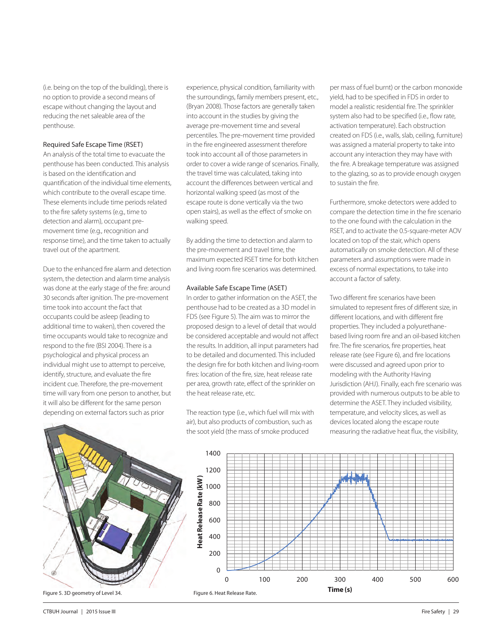(i.e. being on the top of the building), there is no option to provide a second means of escape without changing the layout and reducing the net saleable area of the penthouse.

#### Required Safe Escape Time (RSET)

An analysis of the total time to evacuate the penthouse has been conducted. This analysis is based on the identification and quantification of the individual time elements, which contribute to the overall escape time. These elements include time periods related to the fire safety systems (e.g., time to detection and alarm), occupant premovement time (e.g., recognition and response time), and the time taken to actually travel out of the apartment.

Due to the enhanced fire alarm and detection system, the detection and alarm time analysis was done at the early stage of the fire: around 30 seconds after ignition. The pre-movement time took into account the fact that occupants could be asleep (leading to additional time to waken), then covered the time occupants would take to recognize and respond to the fire (BSI 2004). There is a psychological and physical process an individual might use to attempt to perceive, identify, structure, and evaluate the fire incident cue. Therefore, the pre-movement time will vary from one person to another, but it will also be different for the same person depending on external factors such as prior

experience, physical condition, familiarity with the surroundings, family members present, etc., (Bryan 2008). Those factors are generally taken into account in the studies by giving the average pre-movement time and several percentiles. The pre-movement time provided in the fire engineered assessment therefore took into account all of those parameters in order to cover a wide range of scenarios. Finally, the travel time was calculated, taking into account the differences between vertical and horizontal walking speed (as most of the escape route is done vertically via the two open stairs), as well as the effect of smoke on walking speed.

By adding the time to detection and alarm to the pre-movement and travel time, the maximum expected RSET time for both kitchen and living room fire scenarios was determined.

### Available Safe Escape Time (ASET)

In order to gather information on the ASET, the penthouse had to be created as a 3D model in FDS (see Figure 5). The aim was to mirror the proposed design to a level of detail that would be considered acceptable and would not affect the results. In addition, all input parameters had to be detailed and documented. This included the design fire for both kitchen and living-room fires: location of the fire, size, heat release rate per area, growth rate, effect of the sprinkler on the heat release rate, etc.

The reaction type (i.e., which fuel will mix with

per mass of fuel burnt) or the carbon monoxide yield, had to be specified in FDS in order to model a realistic residential fire. The sprinkler system also had to be specified (i.e., flow rate, activation temperature). Each obstruction created on FDS (i.e., walls, slab, ceiling, furniture) was assigned a material property to take into account any interaction they may have with the fire. A breakage temperature was assigned to the glazing, so as to provide enough oxygen to sustain the fire.

Furthermore, smoke detectors were added to compare the detection time in the fire scenario to the one found with the calculation in the RSET, and to activate the 0.5-square-meter AOV located on top of the stair, which opens automatically on smoke detection. All of these parameters and assumptions were made in excess of normal expectations, to take into account a factor of safety.

Two different fire scenarios have been simulated to represent fires of different size, in different locations, and with different fire properties. They included a polyurethanebased living room fire and an oil-based kitchen fire. The fire scenarios, fire properties, heat release rate (see Figure 6), and fire locations were discussed and agreed upon prior to modeling with the Authority Having Jurisdiction (AHJ). Finally, each fire scenario was provided with numerous outputs to be able to determine the ASET. They included visibility, temperature, and velocity slices, as well as devices located along the escape route measuring the radiative heat flux, the visibility,



air), but also products of combustion, such as the soot yield (the mass of smoke produced

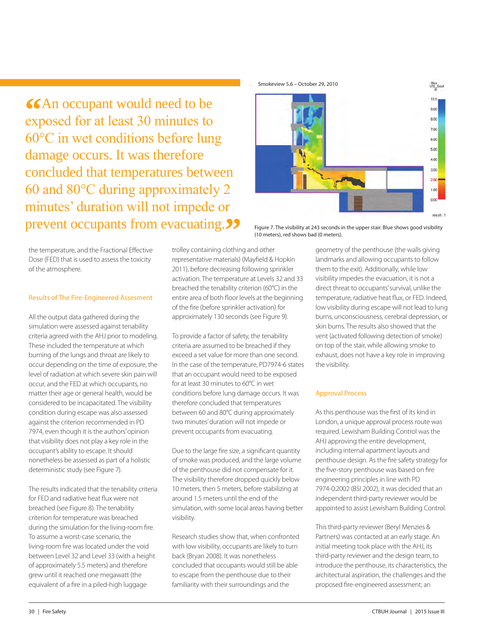**66An occupant would need to be exposed for at least 30 minutes to** 60°C in wet conditions before lung damage occurs. It was therefore concluded that temperatures between 60 and 80°C during approximately 2 minutes' duration will not impede or prevent occupants from evacuating.<sup>?</sup><br>**PEVENT OCCUPANTS from evacuating.**?? **Figure 7. The visibility at 243 seconds in the upper stair. Blue shows good visibility** 



(10 meters), red shows bad (0 meters).

the temperature, and the Fractional Effective Dose (FED) that is used to assess the toxicity of the atmosphere.

## Results of The Fire-Engineered Assesment

All the output data gathered during the simulation were assessed against tenability criteria agreed with the AHJ prior to modeling. These included the temperature at which burning of the lungs and throat are likely to occur depending on the time of exposure, the level of radiation at which severe skin pain will occur, and the FED at which occupants, no matter their age or general health, would be considered to be incapacitated. The visibility condition during escape was also assessed against the criterion recommended in PD 7974, even though it is the authors' opinion that visibility does not play a key role in the occupant's ability to escape. It should nonetheless be assessed as part of a holistic deterministic study (see Figure 7).

The results indicated that the tenability criteria for FED and radiative heat flux were not breached (see Figure 8). The tenability criterion for temperature was breached during the simulation for the living-room fire. To assume a worst-case scenario, the living-room fire was located under the void between Level 32 and Level 33 (with a height of approximately 5.5 meters) and therefore grew until it reached one megawatt (the equivalent of a fire in a piled-high luggage

trolley containing clothing and other representative materials) (Mayfield & Hopkin 2011), before decreasing following sprinkler activation. The temperature at Levels 32 and 33 breached the tenability criterion (60°C) in the entire area of both floor levels at the beginning of the fire (before sprinkler activation) for approximately 130 seconds (see Figure 9).

To provide a factor of safety, the tenability criteria are assumed to be breached if they exceed a set value for more than one second. In the case of the temperature, PD7974-6 states that an occupant would need to be exposed for at least 30 minutes to 60°C in wet conditions before lung damage occurs. It was therefore concluded that temperatures between 60 and 80°C during approximately two minutes' duration will not impede or prevent occupants from evacuating.

Due to the large fire size, a significant quantity of smoke was produced, and the large volume of the penthouse did not compensate for it. The visibility therefore dropped quickly below 10 meters, then 5 meters, before stabilizing at around 1.5 meters until the end of the simulation, with some local areas having better visibility.

Research studies show that, when confronted with low visibility, occupants are likely to turn back (Bryan 2008). It was nonetheless concluded that occupants would still be able to escape from the penthouse due to their familiarity with their surroundings and the

geometry of the penthouse (the walls giving landmarks and allowing occupants to follow them to the exit). Additionally, while low visibility impedes the evacuation, it is not a direct threat to occupants' survival, unlike the temperature, radiative heat flux, or FED. Indeed, low visibility during escape will not lead to lung burns, unconsciousness, cerebral depression, or skin burns. The results also showed that the vent (activated following detection of smoke) on top of the stair, while allowing smoke to exhaust, does not have a key role in improving the visibility.

# Approval Process

As this penthouse was the first of its kind in London, a unique approval process route was required. Lewisham Building Control was the AHJ approving the entire development, including internal apartment layouts and penthouse design. As the fire safety strategy for the five-story penthouse was based on fire engineering principles in line with PD 7974-0:2002 (BSI 2002), it was decided that an independent third-party reviewer would be appointed to assist Lewisham Building Control.

This third-party reviewer (Beryl Menzies & Partners) was contacted at an early stage. An initial meeting took place with the AHJ, its third-party reviewer and the design team, to introduce the penthouse, its characteristics, the architectural aspiration, the challenges and the proposed fire-engineered assessment; an